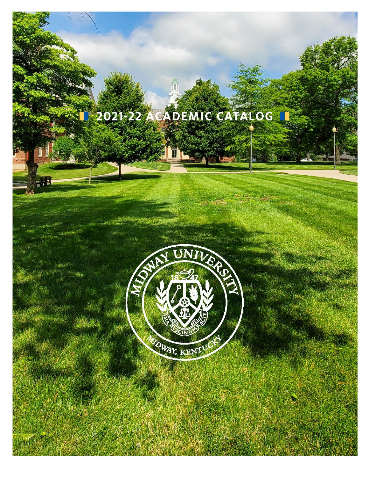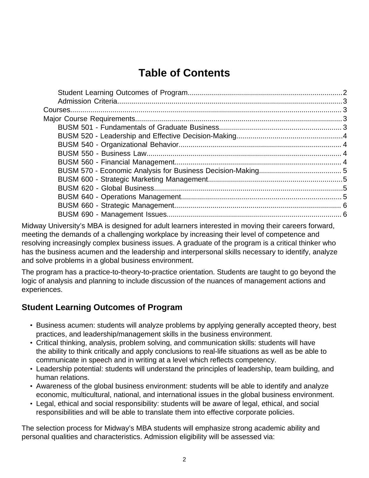# **Table of Contents**

Midway University's MBA is designed for adult learners interested in moving their careers forward, meeting the demands of a challenging workplace by increasing their level of competence and resolving increasingly complex business issues. A graduate of the program is a critical thinker who has the business acumen and the leadership and interpersonal skills necessary to identify, analyze and solve problems in a global business environment.

The program has a practice-to-theory-to-practice orientation. Students are taught to go beyond the logic of analysis and planning to include discussion of the nuances of management actions and experiences.

### <span id="page-1-0"></span>**Student Learning Outcomes of Program**

- Business acumen: students will analyze problems by applying generally accepted theory, best practices, and leadership/management skills in the business environment.
- Critical thinking, analysis, problem solving, and communication skills: students will have the ability to think critically and apply conclusions to real-life situations as well as be able to communicate in speech and in writing at a level which reflects competency.
- Leadership potential: students will understand the principles of leadership, team building, and human relations.
- Awareness of the global business environment: students will be able to identify and analyze economic, multicultural, national, and international issues in the global business environment.
- Legal, ethical and social responsibility: students will be aware of legal, ethical, and social responsibilities and will be able to translate them into effective corporate policies.

The selection process for Midway's MBA students will emphasize strong academic ability and personal qualities and characteristics. Admission eligibility will be assessed via: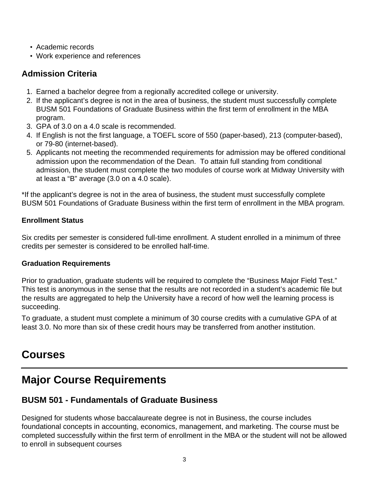- Academic records
- Work experience and references

## <span id="page-2-0"></span>**Admission Criteria**

- 1. Earned a bachelor degree from a regionally accredited college or university.
- 2. If the applicant's degree is not in the area of business, the student must successfully complete BUSM 501 Foundations of Graduate Business within the first term of enrollment in the MBA program.
- 3. GPA of 3.0 on a 4.0 scale is recommended.
- 4. If English is not the first language, a TOEFL score of 550 (paper-based), 213 (computer-based), or 79-80 (internet-based).
- 5. Applicants not meeting the recommended requirements for admission may be offered conditional admission upon the recommendation of the Dean. To attain full standing from conditional admission, the student must complete the two modules of course work at Midway University with at least a "B" average (3.0 on a 4.0 scale).

\*If the applicant's degree is not in the area of business, the student must successfully complete BUSM 501 Foundations of Graduate Business within the first term of enrollment in the MBA program.

#### **Enrollment Status**

Six credits per semester is considered full-time enrollment. A student enrolled in a minimum of three credits per semester is considered to be enrolled half-time.

#### **Graduation Requirements**

Prior to graduation, graduate students will be required to complete the "Business Major Field Test." This test is anonymous in the sense that the results are not recorded in a student's academic file but the results are aggregated to help the University have a record of how well the learning process is succeeding.

To graduate, a student must complete a minimum of 30 course credits with a cumulative GPA of at least 3.0. No more than six of these credit hours may be transferred from another institution.

## <span id="page-2-1"></span>**Courses**

# <span id="page-2-2"></span>**Major Course Requirements**

## <span id="page-2-3"></span>**BUSM 501 - Fundamentals of Graduate Business**

Designed for students whose baccalaureate degree is not in Business, the course includes foundational concepts in accounting, economics, management, and marketing. The course must be completed successfully within the first term of enrollment in the MBA or the student will not be allowed to enroll in subsequent courses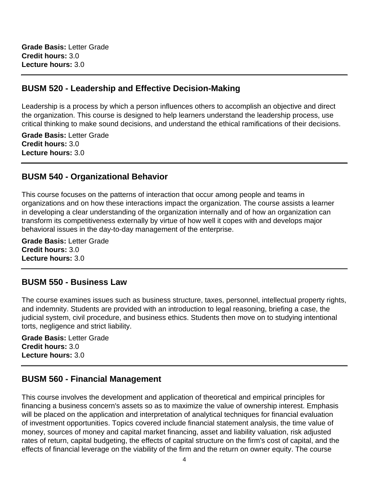**Grade Basis:** Letter Grade **Credit hours:** 3.0 **Lecture hours:** 3.0

#### <span id="page-3-0"></span>**BUSM 520 - Leadership and Effective Decision-Making**

Leadership is a process by which a person influences others to accomplish an objective and direct the organization. This course is designed to help learners understand the leadership process, use critical thinking to make sound decisions, and understand the ethical ramifications of their decisions.

**Grade Basis:** Letter Grade **Credit hours:** 3.0 **Lecture hours:** 3.0

#### <span id="page-3-1"></span>**BUSM 540 - Organizational Behavior**

This course focuses on the patterns of interaction that occur among people and teams in organizations and on how these interactions impact the organization. The course assists a learner in developing a clear understanding of the organization internally and of how an organization can transform its competitiveness externally by virtue of how well it copes with and develops major behavioral issues in the day-to-day management of the enterprise.

**Grade Basis:** Letter Grade **Credit hours:** 3.0 **Lecture hours:** 3.0

#### <span id="page-3-2"></span>**BUSM 550 - Business Law**

The course examines issues such as business structure, taxes, personnel, intellectual property rights, and indemnity. Students are provided with an introduction to legal reasoning, briefing a case, the judicial system, civil procedure, and business ethics. Students then move on to studying intentional torts, negligence and strict liability.

**Grade Basis:** Letter Grade **Credit hours:** 3.0 **Lecture hours:** 3.0

#### <span id="page-3-3"></span>**BUSM 560 - Financial Management**

This course involves the development and application of theoretical and empirical principles for financing a business concern's assets so as to maximize the value of ownership interest. Emphasis will be placed on the application and interpretation of analytical techniques for financial evaluation of investment opportunities. Topics covered include financial statement analysis, the time value of money, sources of money and capital market financing, asset and liability valuation, risk adjusted rates of return, capital budgeting, the effects of capital structure on the firm's cost of capital, and the effects of financial leverage on the viability of the firm and the return on owner equity. The course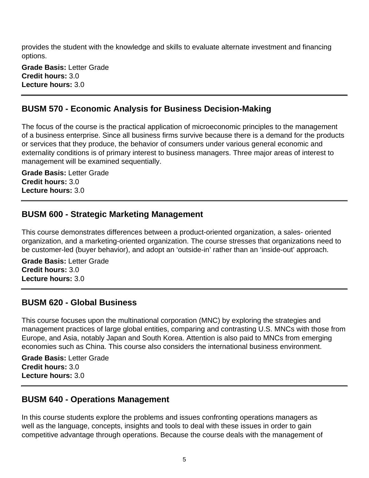provides the student with the knowledge and skills to evaluate alternate investment and financing options.

**Grade Basis:** Letter Grade **Credit hours:** 3.0 **Lecture hours:** 3.0

#### <span id="page-4-0"></span>**BUSM 570 - Economic Analysis for Business Decision-Making**

The focus of the course is the practical application of microeconomic principles to the management of a business enterprise. Since all business firms survive because there is a demand for the products or services that they produce, the behavior of consumers under various general economic and externality conditions is of primary interest to business managers. Three major areas of interest to management will be examined sequentially.

**Grade Basis:** Letter Grade **Credit hours:** 3.0 **Lecture hours:** 3.0

#### <span id="page-4-1"></span>**BUSM 600 - Strategic Marketing Management**

This course demonstrates differences between a product-oriented organization, a sales- oriented organization, and a marketing-oriented organization. The course stresses that organizations need to be customer-led (buyer behavior), and adopt an 'outside-in' rather than an 'inside-out' approach.

**Grade Basis:** Letter Grade **Credit hours:** 3.0 **Lecture hours:** 3.0

#### <span id="page-4-2"></span>**BUSM 620 - Global Business**

This course focuses upon the multinational corporation (MNC) by exploring the strategies and management practices of large global entities, comparing and contrasting U.S. MNCs with those from Europe, and Asia, notably Japan and South Korea. Attention is also paid to MNCs from emerging economies such as China. This course also considers the international business environment.

**Grade Basis:** Letter Grade **Credit hours:** 3.0 **Lecture hours:** 3.0

#### <span id="page-4-3"></span>**BUSM 640 - Operations Management**

In this course students explore the problems and issues confronting operations managers as well as the language, concepts, insights and tools to deal with these issues in order to gain competitive advantage through operations. Because the course deals with the management of